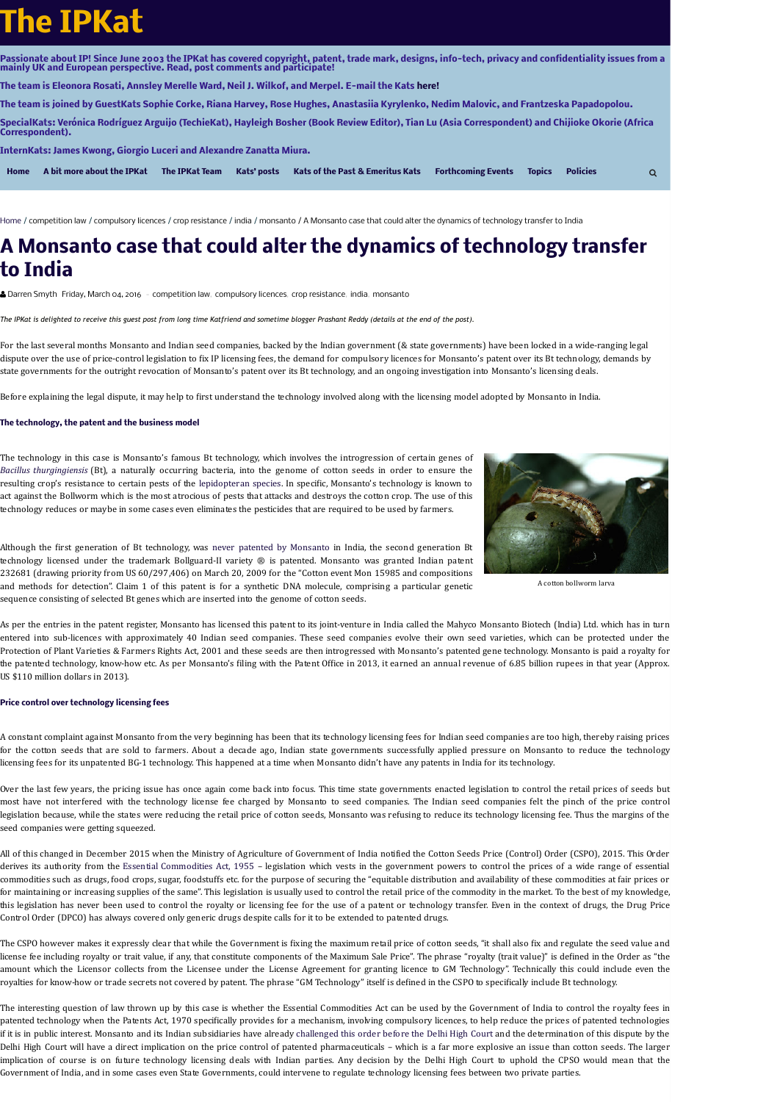Passionate about IP! Since June 2003 the IPKat has covered copyright, patent, trade mark, designs, info-tech, privacy and confidentiality issues from a **mainly UK and European perspective. Read, post comments and participate!**

**The team is Eleonora Rosati, Annsley Merelle Ward, Neil J. Wilkof, and Merpel. E-mail the Kats [here!](mailto:theipkat@gmail.com)**

The team is joined by GuestKats Sophie Corke, Riana Harvey, Rose Hughes, Anastasiia Kyrylenko, Nedim Malovic, and Frantzeska Papadopolou.

SpecialKats: Verónica Rodríguez Arguijo (TechieKat), Hayleigh Bosher (Book Review Editor), Tian Lu (Asia Correspondent) and Chijioke Okorie (Africa **Correspondent).**

**[Home](https://ipkitten.blogspot.com/) [A bit more about the IPKat](https://ipkitten.blogspot.nl/p/bit-more-about-ipkat.html) [The IPKat Team](https://ipkitten.blogspot.com/p/the-ipkat-team_20.html) [Kats' posts](https://ipkitten.blogspot.com/p/kats-posts.html) [Kats of the Past & Emeritus Kats](https://ipkitten.blogspot.nl/p/kats-of-past.html) [Forthcoming Events](https://ipkitten.blogspot.nl/p/for-your-delectation.html) [Topics](https://ipkitten.blogspot.com/p/posts-per-topic.html) [Policies](https://ipkitten.blogspot.nl/p/want-to-complain.html)**

[Home](https://ipkitten.blogspot.com/) / [competition law](https://ipkitten.blogspot.com/search/label/competition%20law) / [compulsory licences](https://ipkitten.blogspot.com/search/label/compulsory%20licences) / [crop resistance](https://ipkitten.blogspot.com/search/label/crop%20resistance) / [india](https://ipkitten.blogspot.com/search/label/india) / [monsanto](https://ipkitten.blogspot.com/search/label/monsanto) / A Monsanto case that could alter the dynamics of technology transfer to India

**InternKats: James Kwong, Giorgio Luceri and Alexandre Zanatta Miura.**

# **The IPKat**

[Darren Smyth](https://www.blogger.com/profile/04252776942038752516) [Friday, March 04, 2016](https://ipkitten.blogspot.com/2016/03/a-monsanto-case-that-could-alter.html) - [competition law,](https://ipkitten.blogspot.com/search/label/competition%20law) [compulsory licences,](https://ipkitten.blogspot.com/search/label/compulsory%20licences) [crop resistance](https://ipkitten.blogspot.com/search/label/crop%20resistance), [india](https://ipkitten.blogspot.com/search/label/india), [monsanto](https://ipkitten.blogspot.com/search/label/monsanto)

The IPKat is delighted to receive this guest post from long time Katfriend and sometime blogger Prashant Reddy (details at the end of the post).

For the last several months Monsanto and Indian seed companies, backed by the Indian government (& state governments) have been locked in a wide-ranging legal dispute over the use of price-control legislation to fix IP licensing fees, the demand for compulsory licences for Monsanto's patent over its Bt technology, demands by state governments for the outright revocation of Monsanto's patent over its Bt technology, and an ongoing investigation into Monsanto's licensing deals.

Before explaining the legal dispute, it may help to first understand the technology involved along with the licensing model adopted by Monsanto in India.

The technology in this case is Monsanto's famous Bt technology, which involves the introgression of certain genes of *Bacillus [thurgingiensis](https://en.wikipedia.org/wiki/Bacillus_thuringiensis)* (Bt), a naturally occurring bacteria, into the genome of cotton seeds in order to ensure the resulting crop's resistance to certain pests of the [lepidopteran](https://en.wikipedia.org/wiki/Lepidoptera) species. In specific, Monsanto's technology is known to act against the Bollworm which is the most atrocious of pests that attacks and destroys the cotton crop. The use of this technology reduces or maybe in some cases even eliminates the pesticides that are required to be used by farmers.



Although the first generation of Bt technology, was never patented by [Monsanto](http://timesofindia.indiatimes.com/city/nagpur/Bt-cotton-Govt-admits-Monsanto-never-had-patent-in-India/articleshow/48674689.cms) in India, the second generation Bt technology licensed under the trademark Bollguard-II variety ® is patented. Monsanto was granted Indian patent 232681 (drawing priority from US 60/297,406) on March 20, 2009 for the "Cotton event Mon 15985 and compositions and methods for detection". Claim 1 of this patent is for a synthetic DNA molecule, comprising a particular genetic sequence consisting of selected Bt genes which are inserted into the genome of cotton seeds.

As per the entries in the patent register, Monsanto has licensed this patent to its joint-venture in India called the Mahyco Monsanto Biotech (India) Ltd. which has in turn entered into sub-licences with approximately 40 Indian seed companies. These seed companies evolve their own seed varieties, which can be protected under the Protection of Plant Varieties & Farmers Rights Act, 2001 and these seeds are then introgressed with Monsanto's patented gene technology. Monsanto is paid a royalty for the patented technology, know-how etc. As per Monsanto's filing with the Patent Office in 2013, it earned an annual revenue of 6.85 billion rupees in that year (Approx. US \$110 million dollars in 2013).

A constant complaint against Monsanto from the very beginning has been that its technology licensing fees for Indian seed companies are too high, thereby raising prices for the cotton seeds that are sold to farmers. About a decade ago, Indian state governments successfully applied pressure on Monsanto to reduce the technology licensing fees for its unpatented BG-1 technology. This happened at a time when Monsanto didn't have any patents in India for its technology.

Over the last few years, the pricing issue has once again come back into focus. This time state governments enacted legislation to control the retail prices of seeds but most have not interfered with the technology license fee charged by Monsanto to seed companies. The Indian seed companies felt the pinch of the price control legislation because, while the states were reducing the retail price of cotton seeds, Monsanto was refusing to reduce its technology licensing fee. Thus the margins of the seed companies were getting squeezed.

All of this changed in December 2015 when the Ministry of Agriculture of Government of India notified the Cotton Seeds Price (Control) Order (CSPO), 2015. This Order derives its authority from the Essential [Commodities](http://seednet.gov.in/PDFFILES/Essential_Commodity_Act_1955(No_10_of_1955).pdf) Act, 1955 – legislation which vests in the government powers to control the prices of a wide range of essential commodities such as drugs, food crops, sugar, foodstuffs etc. for the purpose of securing the "equitable distribution and availability of these commodities at fair prices or for maintaining or increasing supplies of the same". This legislation is usually used to control the retail price of the commodity in the market. To the best of my knowledge, this legislation has never been used to control the royalty or licensing fee for the use of a patent or technology transfer. Even in the context of drugs, the Drug Price Control Order (DPCO) has always covered only generic drugs despite calls for it to be extended to patented drugs.

The CSPO however makes it expressly clear that while the Government is fixing the maximum retail price of cotton seeds, "it shall also fix and regulate the seed value and license fee including royalty or trait value, if any, that constitute components of the Maximum Sale Price". The phrase "royalty (trait value)" is defined in the Order as "the amount which the Licensor collects from the Licensee under the License Agreement for granting licence to GM Technology". Technically this could include even the royalties for know-how or trade secrets not covered by patent. The phrase "GM Technology" itself is defined in the CSPO to specifically include Bt technology.

The interesting question of law thrown up by this case is whether the Essential Commodities Act can be used by the Government of India to control the royalty fees in patented technology when the Patents Act, 1970 specifically provides for a mechanism, involving compulsory licences, to help reduce the prices of patented technologies if it is in public interest. Monsanto and its Indian subsidiaries have already [challenged](http://articles.economictimes.indiatimes.com/2016-02-05/news/70373756_1_seed-companies-mahyco-monsanto-biotech-india-bt-cotton-seeds) this order before the Delhi High Court and the determination of this dispute by the Delhi High Court will have a direct implication on the price control of patented pharmaceuticals – which is a far more explosive an issue than cotton seeds. The larger implication of course is on future technology licensing deals with Indian parties. Any decision by the Delhi High Court to uphold the CPSO would mean that the Government of India, and in some cases even State Governments, could intervene to regulate technology licensing fees between two private parties.

## **A Monsanto case that could alter the dynamics of technology transfer to India**

### **The technology, the patent and the business model**

A cotton bollworm larva

#### **Price control over technology licensing fees**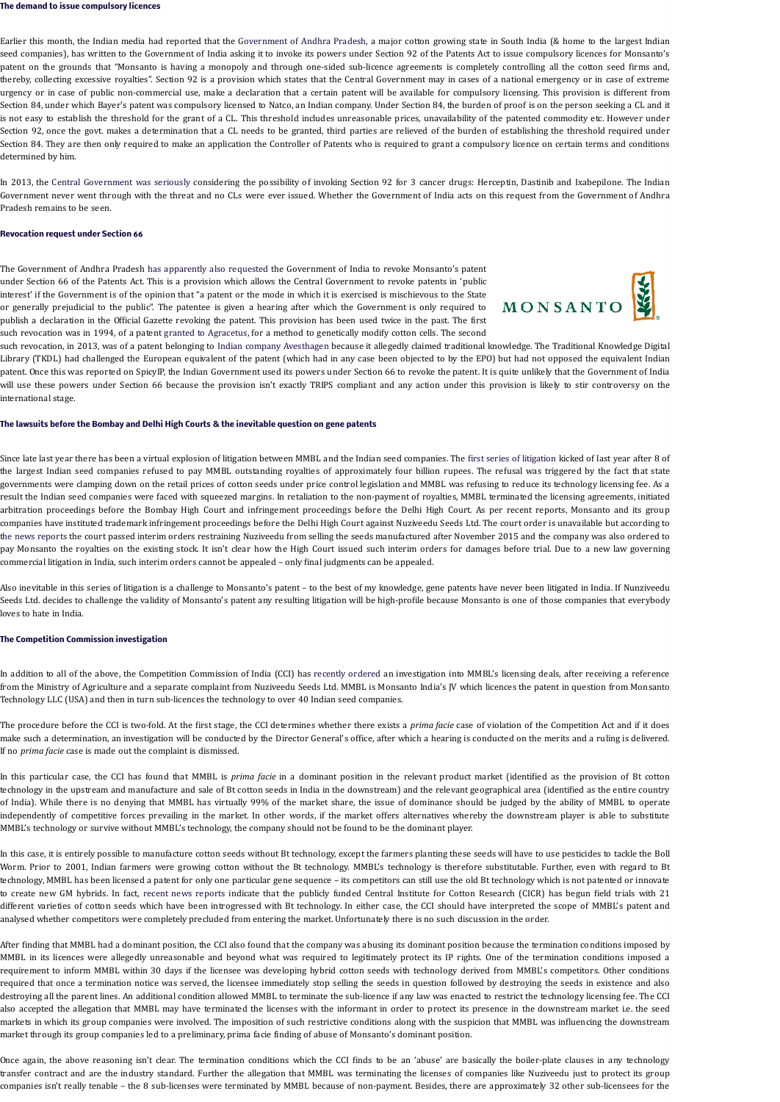Earlier this month, the Indian media had reported that the [Government](http://www.livemint.com/Politics/g5n1dPrPqEcrhGPgOfb11L/Andhra-Pradesh-to-centre-invoke-compulsory-licence-or-cance.html) of Andhra Pradesh, a major cotton growing state in South India (& home to the largest Indian seed companies), has written to the Government of India asking it to invoke its powers under Section 92 of the Patents Act to issue compulsory licences for Monsanto's patent on the grounds that "Monsanto is having a monopoly and through one-sided sub-licence agreements is completely controlling all the cotton seed firms and, thereby, collecting excessive royalties". Section 92 is a provision which states that the Central Government may in cases of a national emergency or in case of extreme urgency or in case of public non-commercial use, make a declaration that a certain patent will be available for compulsory licensing. This provision is different from Section 84, under which Bayer's patent was compulsory licensed to Natco, an Indian company. Under Section 84, the burden of proof is on the person seeking a CL and it is not easy to establish the threshold for the grant of a CL. This threshold includes unreasonable prices, unavailability of the patented commodity etc. However under Section 92, once the govt. makes a determination that a CL needs to be granted, third parties are relieved of the burden of establishing the threshold required under Section 84. They are then only required to make an application the Controller of Patents who is required to grant a compulsory licence on certain terms and conditions determined by him.

In 2013, the Central [Government](http://articles.economictimes.indiatimes.com/2013-01-14/news/36331897_1_compulsory-licence-indian-patent-act-patent-controller) was seriously considering the possibility of invoking Section 92 for 3 cancer drugs: Herceptin, Dastinib and Ixabepilone. The Indian Government never went through with the threat and no CLs were ever issued. Whether the Government of India acts on this request from the Government of Andhra Pradesh remains to be seen.

The Government of Andhra Pradesh has [apparently](http://www.financialexpress.com/article/industry/companies/andhra-pradesh-accuses-monsanto-of-abusing-indian-patents-act-through-jv/213007/http:/www.financialexpress.com/article/industry/companies/andhra-pradesh-accuses-monsanto-of-abusing-indian-patents-act-through-jv/213007/) also requested the Government of India to revoke Monsanto's patent under Section 66 of the Patents Act. This is a provision which allows the Central Government to revoke patents in 'public interest' if the Government is of the opinion that "a patent or the mode in which it is exercised is mischievous to the State or generally prejudicial to the public". The patentee is given a hearing after which the Government is only required to publish a declaration in the Official Gazette revoking the patent. This provision has been used twice in the past. The firs[t](https://2.bp.blogspot.com/-uEB7eTaseNQ/VtcNgzz1VZI/AAAAAAAAAZ0/XCLXRh2UoV0/s1600/monsanto.png) such revocation was in 1994, of a patent granted to [Agracetus](http://www.downtoearth.org.in/news/revoked-29643), for a method to genetically modify cotton cells. The second



Since late last year there has been a virtual explosion of [litigation](http://www.business-standard.com/article/companies/monsanto-cotton-seeds-firms-at-war-115101901068_1.html) between MMBL and the Indian seed companies. The first series of litigation kicked of last year after 8 of the largest Indian seed companies refused to pay MMBL outstanding royalties of approximately four billion rupees. The refusal was triggered by the fact that state governments were clamping down on the retail prices of cotton seeds under price control legislation and MMBL was refusing to reduce its technology licensing fee. As a result the Indian seed companies were faced with squeezed margins. In retaliation to the non-payment of royalties, MMBL terminated the licensing agreements, initiated arbitration proceedings before the Bombay High Court and infringement proceedings before the Delhi High Court. As per recent reports, Monsanto and its group companies have instituted trademark infringement proceedings before the Delhi High Court against Nuziveedu Seeds Ltd. The court order is unavailable but according to the news [reports](http://www.business-standard.com/article/current-affairs/hc-stops-indian-seed-co-from-selling-bt-cotton-under-monsanto-brand-116021901129_1.html) the court passed interim orders restraining Nuziveedu from selling the seeds manufactured after November 2015 and the company was also ordered to pay Monsanto the royalties on the existing stock. It isn't clear how the High Court issued such interim orders for damages before trial. Due to a new law governing commercial litigation in India, such interim orders cannot be appealed – only final judgments can be appealed.

In addition to all of the above, the Competition Commission of India (CCI) has recently [ordered](http://www.cci.gov.in/sites/default/files/Ref%2002-2015%20and%20107-2015%20-26%281%29%20order_10.02.2015.pdf) an investigation into MMBL's licensing deals, after receiving a reference from the Ministry of Agriculture and a separate complaint from Nuziveedu Seeds Ltd. MMBL is Monsanto India's JV which licences the patent in question from Monsanto Technology LLC (USA) and then in turn sub-licences the technology to over 40 Indian seed companies.

such revocation, in 2013, was of a patent belonging to Indian company [Avesthagen](http://spicyip.com/2012/10/govt-of-india-follows-up-on-spicyip.html) because it allegedly claimed traditional knowledge. The Traditional Knowledge Digital Library (TKDL) had challenged the European equivalent of the patent (which had in any case been objected to by the EPO) but had not opposed the equivalent Indian patent. Once this was reported on SpicyIP, the Indian Government used its powers under Section 66 to revoke the patent. It is quite unlikely that the Government of India will use these powers under Section 66 because the provision isn't exactly TRIPS compliant and any action under this provision is likely to stir controversy on the international stage.

Also inevitable in this series of litigation is a challenge to Monsanto's patent – to the best of my knowledge, gene patents have never been litigated in India. If Nunziveedu Seeds Ltd. decides to challenge the validity of Monsanto's patent any resulting litigation will be high-profile because Monsanto is one of those companies that everybody loves to hate in India.

The procedure before the CCI is two-fold. At the first stage, the CCI determines whether there exists a *prima facie* case of violation of the Competition Act and if it does make such a determination, an investigation will be conducted by the Director General's office, after which a hearing is conducted on the merits and a ruling is delivered. If no *prima facie* case is made out the complaint is dismissed.

In this particular case, the CCI has found that MMBL is *prima facie* in a dominant position in the relevant product market (identified as the provision of Bt cotton technology in the upstream and manufacture and sale of Bt cotton seeds in India in the downstream) and the relevant geographical area (identified as the entire country of India). While there is no denying that MMBL has virtually 99% of the market share, the issue of dominance should be judged by the ability of MMBL to operate independently of competitive forces prevailing in the market. In other words, if the market offers alternatives whereby the downstream player is able to substitute MMBL's technology or survive without MMBL's technology, the company should not be found to be the dominant player.

In this case, it is entirely possible to manufacture cotton seeds without Bt technology, except the farmers planting these seeds will have to use pesticides to tackle the Boll Worm. Prior to 2001, Indian farmers were growing cotton without the Bt technology. MMBL's technology is therefore substitutable. Further, even with regard to Bt technology, MMBL has been licensed a patent for only one particular gene sequence – its competitors can still use the old Bt technology which is not patented or innovate to create new GM hybrids. In fact, recent news [reports](http://economictimes.indiatimes.com/news/economy/agriculture/monsanto-faces-challenge-from-cicrs-bt-cotton-varieties/articleshow/51099198.cms) indicate that the publicly funded Central Institute for Cotton Research (CICR) has begun field trials with 21 different varieties of cotton seeds which have been introgressed with Bt technology. In either case, the CCI should have interpreted the scope of MMBL's patent and analysed whether competitors were completely precluded from entering the market. Unfortunately there is no such discussion in the order.

After finding that MMBL had a dominant position, the CCI also found that the company was abusing its dominant position because the termination conditions imposed by MMBL in its licences were allegedly unreasonable and beyond what was required to legitimately protect its IP rights. One of the termination conditions imposed a requirement to inform MMBL within 30 days if the licensee was developing hybrid cotton seeds with technology derived from MMBL's competitors. Other conditions required that once a termination notice was served, the licensee immediately stop selling the seeds in question followed by destroying the seeds in existence and also destroying all the parent lines. An additional condition allowed MMBL to terminate the sub-licence if any law was enacted to restrict the technology licensing fee. The CCI also accepted the allegation that MMBL may have terminated the licenses with the informant in order to protect its presence in the downstream market i.e. the seed markets in which its group companies were involved. The imposition of such restrictive conditions along with the suspicion that MMBL was influencing the downstream market through its group companies led to a preliminary, prima facie finding of abuse of Monsanto's dominant position.

Once again, the above reasoning isn't clear. The termination conditions which the CCI finds to be an 'abuse' are basically the boiler-plate clauses in any technology transfer contract and are the industry standard. Further the allegation that MMBL was terminating the licenses of companies like Nuziveedu just to protect its group companies isn't really tenable – the 8 sub-licenses were terminated by MMBL because of non-payment. Besides, there are approximately 32 other sub-licensees for the

#### **The demand to issue compulsory licences**

#### **Revocation request under Section 66**

#### **The lawsuits before the Bombay and Delhi High Courts & the inevitable question on gene patents**

#### **The Competition Commission investigation**